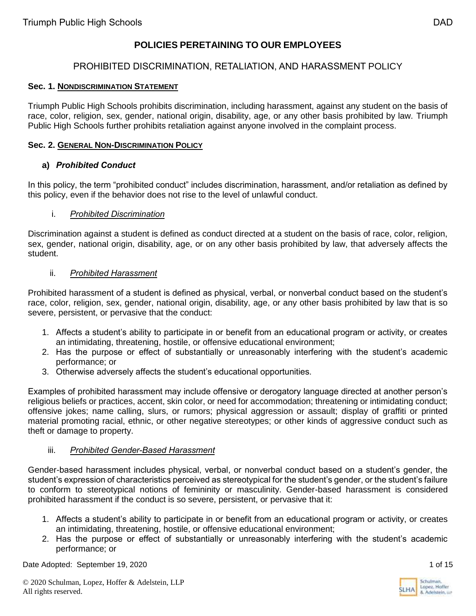# **POLICIES PERETAINING TO OUR EMPLOYEES**

# PROHIBITED DISCRIMINATION, RETALIATION, AND HARASSMENT POLICY

### **Sec. 1. NONDISCRIMINATION STATEMENT**

Triumph Public High Schools prohibits discrimination, including harassment, against any student on the basis of race, color, religion, sex, gender, national origin, disability, age, or any other basis prohibited by law. Triumph Public High Schools further prohibits retaliation against anyone involved in the complaint process.

### **Sec. 2. GENERAL NON-DISCRIMINATION POLICY**

### **a)** *Prohibited Conduct*

In this policy, the term "prohibited conduct" includes discrimination, harassment, and/or retaliation as defined by this policy, even if the behavior does not rise to the level of unlawful conduct.

### i. *Prohibited Discrimination*

Discrimination against a student is defined as conduct directed at a student on the basis of race, color, religion, sex, gender, national origin, disability, age, or on any other basis prohibited by law, that adversely affects the student.

### ii. *Prohibited Harassment*

Prohibited harassment of a student is defined as physical, verbal, or nonverbal conduct based on the student's race, color, religion, sex, gender, national origin, disability, age, or any other basis prohibited by law that is so severe, persistent, or pervasive that the conduct:

- 1. Affects a student's ability to participate in or benefit from an educational program or activity, or creates an intimidating, threatening, hostile, or offensive educational environment;
- 2. Has the purpose or effect of substantially or unreasonably interfering with the student's academic performance; or
- 3. Otherwise adversely affects the student's educational opportunities.

Examples of prohibited harassment may include offensive or derogatory language directed at another person's religious beliefs or practices, accent, skin color, or need for accommodation; threatening or intimidating conduct; offensive jokes; name calling, slurs, or rumors; physical aggression or assault; display of graffiti or printed material promoting racial, ethnic, or other negative stereotypes; or other kinds of aggressive conduct such as theft or damage to property.

### iii. *Prohibited Gender-Based Harassment*

Gender-based harassment includes physical, verbal, or nonverbal conduct based on a student's gender, the student's expression of characteristics perceived as stereotypical for the student's gender, or the student's failure to conform to stereotypical notions of femininity or masculinity. Gender-based harassment is considered prohibited harassment if the conduct is so severe, persistent, or pervasive that it:

- 1. Affects a student's ability to participate in or benefit from an educational program or activity, or creates an intimidating, threatening, hostile, or offensive educational environment;
- 2. Has the purpose or effect of substantially or unreasonably interfering with the student's academic performance; or

Date Adopted: September 19, 2020 1 of 15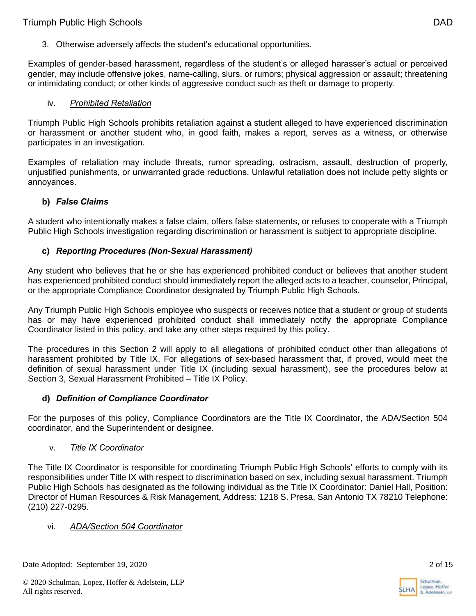3. Otherwise adversely affects the student's educational opportunities.

Examples of gender-based harassment, regardless of the student's or alleged harasser's actual or perceived gender, may include offensive jokes, name-calling, slurs, or rumors; physical aggression or assault; threatening or intimidating conduct; or other kinds of aggressive conduct such as theft or damage to property.

### iv. *Prohibited Retaliation*

Triumph Public High Schools prohibits retaliation against a student alleged to have experienced discrimination or harassment or another student who, in good faith, makes a report, serves as a witness, or otherwise participates in an investigation.

Examples of retaliation may include threats, rumor spreading, ostracism, assault, destruction of property, unjustified punishments, or unwarranted grade reductions. Unlawful retaliation does not include petty slights or annoyances.

### **b)** *False Claims*

A student who intentionally makes a false claim, offers false statements, or refuses to cooperate with a Triumph Public High Schools investigation regarding discrimination or harassment is subject to appropriate discipline.

### **c)** *Reporting Procedures (Non-Sexual Harassment)*

Any student who believes that he or she has experienced prohibited conduct or believes that another student has experienced prohibited conduct should immediately report the alleged acts to a teacher, counselor, Principal, or the appropriate Compliance Coordinator designated by Triumph Public High Schools.

Any Triumph Public High Schools employee who suspects or receives notice that a student or group of students has or may have experienced prohibited conduct shall immediately notify the appropriate Compliance Coordinator listed in this policy, and take any other steps required by this policy.

The procedures in this Section 2 will apply to all allegations of prohibited conduct other than allegations of harassment prohibited by Title IX. For allegations of sex-based harassment that, if proved, would meet the definition of sexual harassment under Title IX (including sexual harassment), see the procedures below at Section 3, Sexual Harassment Prohibited – Title IX Policy.

### **d)** *Definition of Compliance Coordinator*

For the purposes of this policy, Compliance Coordinators are the Title IX Coordinator, the ADA/Section 504 coordinator, and the Superintendent or designee.

### v. *Title IX Coordinator*

The Title IX Coordinator is responsible for coordinating Triumph Public High Schools' efforts to comply with its responsibilities under Title IX with respect to discrimination based on sex, including sexual harassment. Triumph Public High Schools has designated as the following individual as the Title IX Coordinator: Daniel Hall, Position: Director of Human Resources & Risk Management, Address: 1218 S. Presa, San Antonio TX 78210 Telephone: (210) 227-0295.

### vi. *ADA/Section 504 Coordinator*

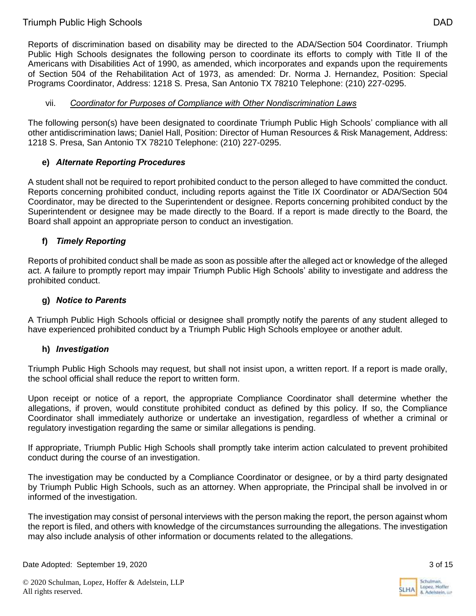Reports of discrimination based on disability may be directed to the ADA/Section 504 Coordinator. Triumph Public High Schools designates the following person to coordinate its efforts to comply with Title II of the Americans with Disabilities Act of 1990, as amended, which incorporates and expands upon the requirements of Section 504 of the Rehabilitation Act of 1973, as amended: Dr. Norma J. Hernandez, Position: Special Programs Coordinator, Address: 1218 S. Presa, San Antonio TX 78210 Telephone: (210) 227-0295.

### vii. *Coordinator for Purposes of Compliance with Other Nondiscrimination Laws*

The following person(s) have been designated to coordinate Triumph Public High Schools' compliance with all other antidiscrimination laws; Daniel Hall, Position: Director of Human Resources & Risk Management, Address: 1218 S. Presa, San Antonio TX 78210 Telephone: (210) 227-0295.

# **e)** *Alternate Reporting Procedures*

A student shall not be required to report prohibited conduct to the person alleged to have committed the conduct. Reports concerning prohibited conduct, including reports against the Title IX Coordinator or ADA/Section 504 Coordinator, may be directed to the Superintendent or designee. Reports concerning prohibited conduct by the Superintendent or designee may be made directly to the Board. If a report is made directly to the Board, the Board shall appoint an appropriate person to conduct an investigation.

# **f)** *Timely Reporting*

Reports of prohibited conduct shall be made as soon as possible after the alleged act or knowledge of the alleged act. A failure to promptly report may impair Triumph Public High Schools' ability to investigate and address the prohibited conduct.

### **g)** *Notice to Parents*

A Triumph Public High Schools official or designee shall promptly notify the parents of any student alleged to have experienced prohibited conduct by a Triumph Public High Schools employee or another adult.

### **h)** *Investigation*

Triumph Public High Schools may request, but shall not insist upon, a written report. If a report is made orally, the school official shall reduce the report to written form.

Upon receipt or notice of a report, the appropriate Compliance Coordinator shall determine whether the allegations, if proven, would constitute prohibited conduct as defined by this policy. If so, the Compliance Coordinator shall immediately authorize or undertake an investigation, regardless of whether a criminal or regulatory investigation regarding the same or similar allegations is pending.

If appropriate, Triumph Public High Schools shall promptly take interim action calculated to prevent prohibited conduct during the course of an investigation.

The investigation may be conducted by a Compliance Coordinator or designee, or by a third party designated by Triumph Public High Schools, such as an attorney. When appropriate, the Principal shall be involved in or informed of the investigation.

The investigation may consist of personal interviews with the person making the report, the person against whom the report is filed, and others with knowledge of the circumstances surrounding the allegations. The investigation may also include analysis of other information or documents related to the allegations.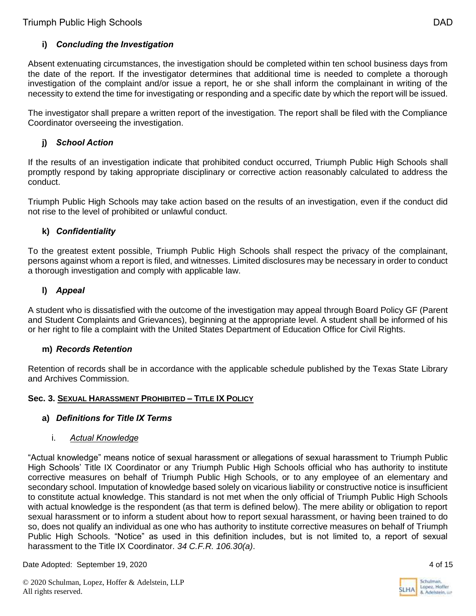# **i)** *Concluding the Investigation*

Absent extenuating circumstances, the investigation should be completed within ten school business days from the date of the report. If the investigator determines that additional time is needed to complete a thorough investigation of the complaint and/or issue a report, he or she shall inform the complainant in writing of the necessity to extend the time for investigating or responding and a specific date by which the report will be issued.

The investigator shall prepare a written report of the investigation. The report shall be filed with the Compliance Coordinator overseeing the investigation.

# **j)** *School Action*

If the results of an investigation indicate that prohibited conduct occurred, Triumph Public High Schools shall promptly respond by taking appropriate disciplinary or corrective action reasonably calculated to address the conduct.

Triumph Public High Schools may take action based on the results of an investigation, even if the conduct did not rise to the level of prohibited or unlawful conduct.

### **k)** *Confidentiality*

To the greatest extent possible, Triumph Public High Schools shall respect the privacy of the complainant, persons against whom a report is filed, and witnesses. Limited disclosures may be necessary in order to conduct a thorough investigation and comply with applicable law.

# **l)** *Appeal*

A student who is dissatisfied with the outcome of the investigation may appeal through Board Policy GF (Parent and Student Complaints and Grievances), beginning at the appropriate level. A student shall be informed of his or her right to file a complaint with the United States Department of Education Office for Civil Rights.

### **m)** *Records Retention*

Retention of records shall be in accordance with the applicable schedule published by the Texas State Library and Archives Commission.

### **Sec. 3. SEXUAL HARASSMENT PROHIBITED – TITLE IX POLICY**

### **a)** *Definitions for Title IX Terms*

### i. *Actual Knowledge*

"Actual knowledge" means notice of sexual harassment or allegations of sexual harassment to Triumph Public High Schools' Title IX Coordinator or any Triumph Public High Schools official who has authority to institute corrective measures on behalf of Triumph Public High Schools, or to any employee of an elementary and secondary school. Imputation of knowledge based solely on vicarious liability or constructive notice is insufficient to constitute actual knowledge. This standard is not met when the only official of Triumph Public High Schools with actual knowledge is the respondent (as that term is defined below). The mere ability or obligation to report sexual harassment or to inform a student about how to report sexual harassment, or having been trained to do so, does not qualify an individual as one who has authority to institute corrective measures on behalf of Triumph Public High Schools. "Notice" as used in this definition includes, but is not limited to, a report of sexual harassment to the Title IX Coordinator. *34 C.F.R. 106.30(a)*.

Date Adopted: September 19, 2020 4 of 15

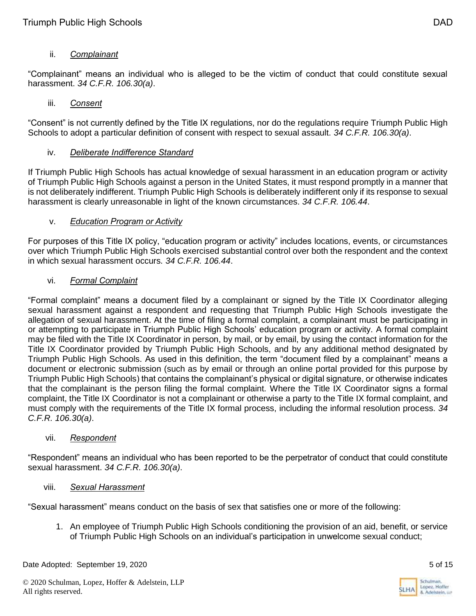# ii. *Complainant*

"Complainant" means an individual who is alleged to be the victim of conduct that could constitute sexual harassment. *34 C.F.R. 106.30(a)*.

### iii. *Consent*

"Consent" is not currently defined by the Title IX regulations, nor do the regulations require Triumph Public High Schools to adopt a particular definition of consent with respect to sexual assault. *34 C.F.R. 106.30(a)*.

### iv. *Deliberate Indifference Standard*

If Triumph Public High Schools has actual knowledge of sexual harassment in an education program or activity of Triumph Public High Schools against a person in the United States, it must respond promptly in a manner that is not deliberately indifferent. Triumph Public High Schools is deliberately indifferent only if its response to sexual harassment is clearly unreasonable in light of the known circumstances. *34 C.F.R. 106.44*.

### v. *Education Program or Activity*

For purposes of this Title IX policy, "education program or activity" includes locations, events, or circumstances over which Triumph Public High Schools exercised substantial control over both the respondent and the context in which sexual harassment occurs. *34 C.F.R. 106.44*.

### vi. *Formal Complaint*

"Formal complaint" means a document filed by a complainant or signed by the Title IX Coordinator alleging sexual harassment against a respondent and requesting that Triumph Public High Schools investigate the allegation of sexual harassment. At the time of filing a formal complaint, a complainant must be participating in or attempting to participate in Triumph Public High Schools' education program or activity. A formal complaint may be filed with the Title IX Coordinator in person, by mail, or by email, by using the contact information for the Title IX Coordinator provided by Triumph Public High Schools, and by any additional method designated by Triumph Public High Schools. As used in this definition, the term "document filed by a complainant" means a document or electronic submission (such as by email or through an online portal provided for this purpose by Triumph Public High Schools) that contains the complainant's physical or digital signature, or otherwise indicates that the complainant is the person filing the formal complaint. Where the Title IX Coordinator signs a formal complaint, the Title IX Coordinator is not a complainant or otherwise a party to the Title IX formal complaint, and must comply with the requirements of the Title IX formal process, including the informal resolution process. *34 C.F.R. 106.30(a)*.

### vii. *Respondent*

"Respondent" means an individual who has been reported to be the perpetrator of conduct that could constitute sexual harassment. *34 C.F.R. 106.30(a)*.

### viii. *Sexual Harassment*

"Sexual harassment" means conduct on the basis of sex that satisfies one or more of the following:

1. An employee of Triumph Public High Schools conditioning the provision of an aid, benefit, or service of Triumph Public High Schools on an individual's participation in unwelcome sexual conduct;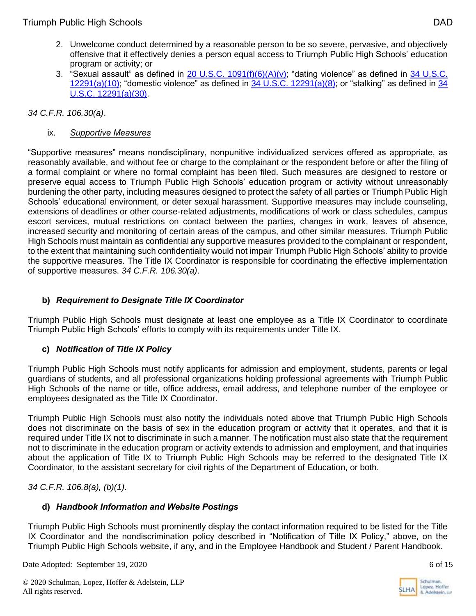- 2. Unwelcome conduct determined by a reasonable person to be so severe, pervasive, and objectively offensive that it effectively denies a person equal access to Triumph Public High Schools' education program or activity; or
- 3. "Sexual assault" as defined in  $20$  U.S.C.  $1091(f)(6)(A)(v)$ ; "dating violence" as defined in  $34$  U.S.C.  $12291(a)(10)$ ; "domestic violence" as defined in [34](https://www.govinfo.gov/content/pkg/USCODE-2018-title34/html/USCODE-2018-title34-subtitleI-chap121-subchapIII-sec12291.htm) U.S.C.  $12291(a)(8)$ ; or "stalking" as defined in 34 [U.S.C. 12291\(a\)\(30\).](https://www.govinfo.gov/content/pkg/USCODE-2018-title34/html/USCODE-2018-title34-subtitleI-chap121-subchapIII-sec12291.htm)

## *34 C.F.R. 106.30(a)*.

## ix. *Supportive Measures*

"Supportive measures" means nondisciplinary, nonpunitive individualized services offered as appropriate, as reasonably available, and without fee or charge to the complainant or the respondent before or after the filing of a formal complaint or where no formal complaint has been filed. Such measures are designed to restore or preserve equal access to Triumph Public High Schools' education program or activity without unreasonably burdening the other party, including measures designed to protect the safety of all parties or Triumph Public High Schools' educational environment, or deter sexual harassment. Supportive measures may include counseling, extensions of deadlines or other course-related adjustments, modifications of work or class schedules, campus escort services, mutual restrictions on contact between the parties, changes in work, leaves of absence, increased security and monitoring of certain areas of the campus, and other similar measures. Triumph Public High Schools must maintain as confidential any supportive measures provided to the complainant or respondent, to the extent that maintaining such confidentiality would not impair Triumph Public High Schools' ability to provide the supportive measures. The Title IX Coordinator is responsible for coordinating the effective implementation of supportive measures. *34 C.F.R. 106.30(a)*.

# **b)** *Requirement to Designate Title IX Coordinator*

Triumph Public High Schools must designate at least one employee as a Title IX Coordinator to coordinate Triumph Public High Schools' efforts to comply with its requirements under Title IX.

# **c)** *Notification of Title IX Policy*

Triumph Public High Schools must notify applicants for admission and employment, students, parents or legal guardians of students, and all professional organizations holding professional agreements with Triumph Public High Schools of the name or title, office address, email address, and telephone number of the employee or employees designated as the Title IX Coordinator.

Triumph Public High Schools must also notify the individuals noted above that Triumph Public High Schools does not discriminate on the basis of sex in the education program or activity that it operates, and that it is required under Title IX not to discriminate in such a manner. The notification must also state that the requirement not to discriminate in the education program or activity extends to admission and employment, and that inquiries about the application of Title IX to Triumph Public High Schools may be referred to the designated Title IX Coordinator, to the assistant secretary for civil rights of the Department of Education, or both.

*34 C.F.R. 106.8(a), (b)(1)*.

### **d)** *Handbook Information and Website Postings*

Triumph Public High Schools must prominently display the contact information required to be listed for the Title IX Coordinator and the nondiscrimination policy described in "Notification of Title IX Policy," above, on the Triumph Public High Schools website, if any, and in the Employee Handbook and Student / Parent Handbook.

Date Adopted: September 19, 2020 6 of 15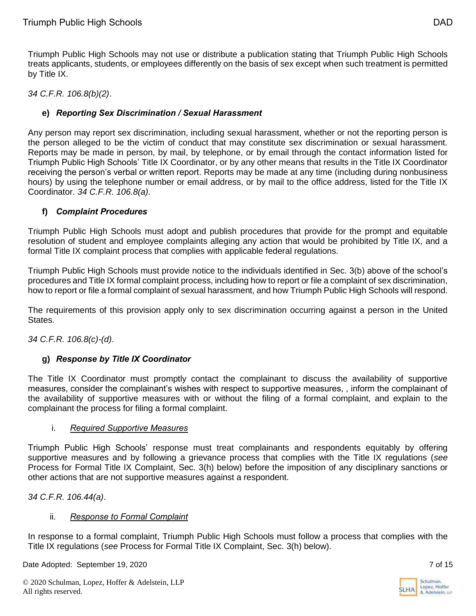Triumph Public High Schools may not use or distribute a publication stating that Triumph Public High Schools treats applicants, students, or employees differently on the basis of sex except when such treatment is permitted by Title IX.

*34 C.F.R. 106.8(b)(2)*.

## **e)** *Reporting Sex Discrimination / Sexual Harassment*

Any person may report sex discrimination, including sexual harassment, whether or not the reporting person is the person alleged to be the victim of conduct that may constitute sex discrimination or sexual harassment. Reports may be made in person, by mail, by telephone, or by email through the contact information listed for Triumph Public High Schools' Title IX Coordinator, or by any other means that results in the Title IX Coordinator receiving the person's verbal or written report. Reports may be made at any time (including during nonbusiness hours) by using the telephone number or email address, or by mail to the office address, listed for the Title IX Coordinator. *34 C.F.R. 106.8(a)*.

### **f)** *Complaint Procedures*

Triumph Public High Schools must adopt and publish procedures that provide for the prompt and equitable resolution of student and employee complaints alleging any action that would be prohibited by Title IX, and a formal Title IX complaint process that complies with applicable federal regulations.

Triumph Public High Schools must provide notice to the individuals identified in Sec. 3(b) above of the school's procedures and Title IX formal complaint process, including how to report or file a complaint of sex discrimination, how to report or file a formal complaint of sexual harassment, and how Triumph Public High Schools will respond.

The requirements of this provision apply only to sex discrimination occurring against a person in the United States.

*34 C.F.R. 106.8(c)-(d)*.

### **g)** *Response by Title IX Coordinator*

The Title IX Coordinator must promptly contact the complainant to discuss the availability of supportive measures, consider the complainant's wishes with respect to supportive measures, , inform the complainant of the availability of supportive measures with or without the filing of a formal complaint, and explain to the complainant the process for filing a formal complaint.

### i. *Required Supportive Measures*

Triumph Public High Schools' response must treat complainants and respondents equitably by offering supportive measures and by following a grievance process that complies with the Title IX regulations (*see* Process for Formal Title IX Complaint, Sec. 3(h) below) before the imposition of any disciplinary sanctions or other actions that are not supportive measures against a respondent.

*34 C.F.R. 106.44(a)*.

### ii. *Response to Formal Complaint*

In response to a formal complaint, Triumph Public High Schools must follow a process that complies with the Title IX regulations (*see* Process for Formal Title IX Complaint, Sec. 3(h) below).

Date Adopted: September 19, 2020 7 of 15

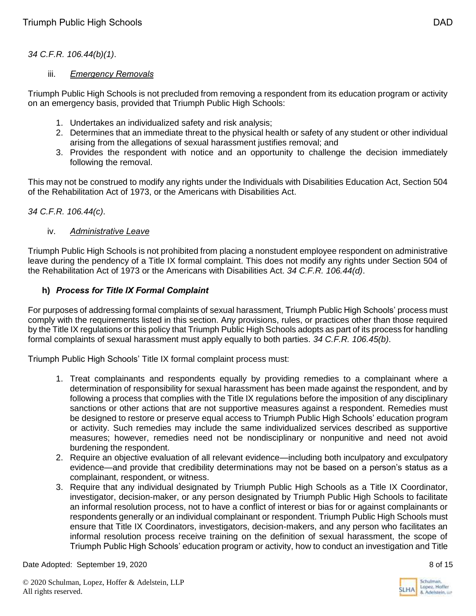### *34 C.F.R. 106.44(b)(1)*.

### iii. *Emergency Removals*

Triumph Public High Schools is not precluded from removing a respondent from its education program or activity on an emergency basis, provided that Triumph Public High Schools:

- 1. Undertakes an individualized safety and risk analysis;
- 2. Determines that an immediate threat to the physical health or safety of any student or other individual arising from the allegations of sexual harassment justifies removal; and
- 3. Provides the respondent with notice and an opportunity to challenge the decision immediately following the removal.

This may not be construed to modify any rights under the Individuals with Disabilities Education Act, Section 504 of the Rehabilitation Act of 1973, or the Americans with Disabilities Act.

### *34 C.F.R. 106.44(c)*.

#### iv. *Administrative Leave*

Triumph Public High Schools is not prohibited from placing a nonstudent employee respondent on administrative leave during the pendency of a Title IX formal complaint. This does not modify any rights under Section 504 of the Rehabilitation Act of 1973 or the Americans with Disabilities Act. *34 C.F.R. 106.44(d)*.

### **h)** *Process for Title IX Formal Complaint*

For purposes of addressing formal complaints of sexual harassment, Triumph Public High Schools' process must comply with the requirements listed in this section. Any provisions, rules, or practices other than those required by the Title IX regulations or this policy that Triumph Public High Schools adopts as part of its process for handling formal complaints of sexual harassment must apply equally to both parties. *34 C.F.R. 106.45(b)*.

Triumph Public High Schools' Title IX formal complaint process must:

- 1. Treat complainants and respondents equally by providing remedies to a complainant where a determination of responsibility for sexual harassment has been made against the respondent, and by following a process that complies with the Title IX regulations before the imposition of any disciplinary sanctions or other actions that are not supportive measures against a respondent. Remedies must be designed to restore or preserve equal access to Triumph Public High Schools' education program or activity. Such remedies may include the same individualized services described as supportive measures; however, remedies need not be nondisciplinary or nonpunitive and need not avoid burdening the respondent.
- 2. Require an objective evaluation of all relevant evidence—including both inculpatory and exculpatory evidence—and provide that credibility determinations may not be based on a person's status as a complainant, respondent, or witness.
- 3. Require that any individual designated by Triumph Public High Schools as a Title IX Coordinator, investigator, decision-maker, or any person designated by Triumph Public High Schools to facilitate an informal resolution process, not to have a conflict of interest or bias for or against complainants or respondents generally or an individual complainant or respondent. Triumph Public High Schools must ensure that Title IX Coordinators, investigators, decision-makers, and any person who facilitates an informal resolution process receive training on the definition of sexual harassment, the scope of Triumph Public High Schools' education program or activity, how to conduct an investigation and Title

Date Adopted: September 19, 2020 8 of 15



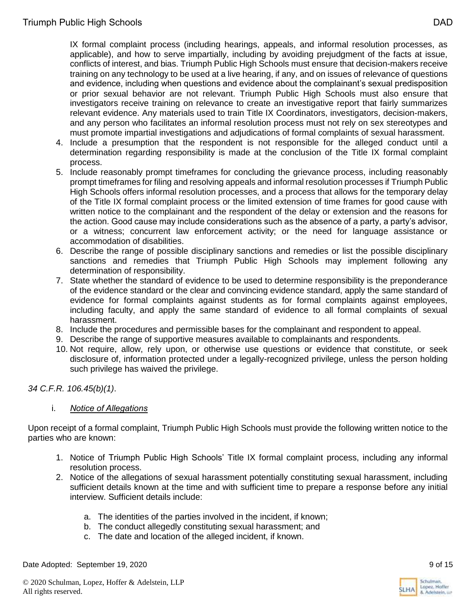IX formal complaint process (including hearings, appeals, and informal resolution processes, as applicable), and how to serve impartially, including by avoiding prejudgment of the facts at issue, conflicts of interest, and bias. Triumph Public High Schools must ensure that decision-makers receive training on any technology to be used at a live hearing, if any, and on issues of relevance of questions and evidence, including when questions and evidence about the complainant's sexual predisposition or prior sexual behavior are not relevant. Triumph Public High Schools must also ensure that investigators receive training on relevance to create an investigative report that fairly summarizes relevant evidence. Any materials used to train Title IX Coordinators, investigators, decision-makers, and any person who facilitates an informal resolution process must not rely on sex stereotypes and must promote impartial investigations and adjudications of formal complaints of sexual harassment.

- 4. Include a presumption that the respondent is not responsible for the alleged conduct until a determination regarding responsibility is made at the conclusion of the Title IX formal complaint process.
- 5. Include reasonably prompt timeframes for concluding the grievance process, including reasonably prompt timeframes for filing and resolving appeals and informal resolution processes if Triumph Public High Schools offers informal resolution processes, and a process that allows for the temporary delay of the Title IX formal complaint process or the limited extension of time frames for good cause with written notice to the complainant and the respondent of the delay or extension and the reasons for the action. Good cause may include considerations such as the absence of a party, a party's advisor, or a witness; concurrent law enforcement activity; or the need for language assistance or accommodation of disabilities.
- 6. Describe the range of possible disciplinary sanctions and remedies or list the possible disciplinary sanctions and remedies that Triumph Public High Schools may implement following any determination of responsibility.
- 7. State whether the standard of evidence to be used to determine responsibility is the preponderance of the evidence standard or the clear and convincing evidence standard, apply the same standard of evidence for formal complaints against students as for formal complaints against employees, including faculty, and apply the same standard of evidence to all formal complaints of sexual harassment.
- 8. Include the procedures and permissible bases for the complainant and respondent to appeal.
- 9. Describe the range of supportive measures available to complainants and respondents.
- 10. Not require, allow, rely upon, or otherwise use questions or evidence that constitute, or seek disclosure of, information protected under a legally-recognized privilege, unless the person holding such privilege has waived the privilege.

*34 C.F.R. 106.45(b)(1)*.

### i. *Notice of Allegations*

Upon receipt of a formal complaint, Triumph Public High Schools must provide the following written notice to the parties who are known:

- 1. Notice of Triumph Public High Schools' Title IX formal complaint process, including any informal resolution process.
- 2. Notice of the allegations of sexual harassment potentially constituting sexual harassment, including sufficient details known at the time and with sufficient time to prepare a response before any initial interview. Sufficient details include:
	- a. The identities of the parties involved in the incident, if known;
	- b. The conduct allegedly constituting sexual harassment; and
	- c. The date and location of the alleged incident, if known.

Date Adopted: September 19, 2020 **9 of 15** 

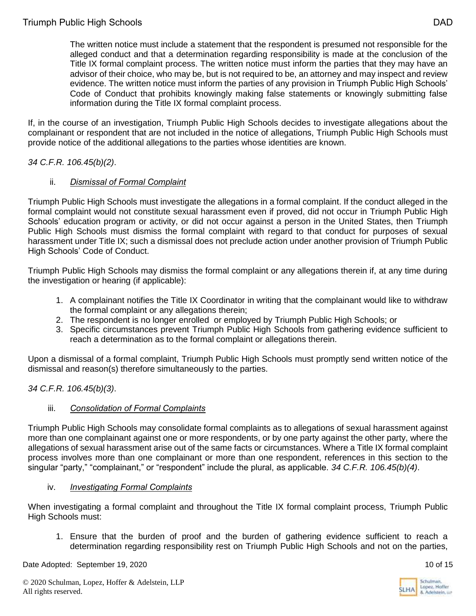The written notice must include a statement that the respondent is presumed not responsible for the alleged conduct and that a determination regarding responsibility is made at the conclusion of the Title IX formal complaint process. The written notice must inform the parties that they may have an advisor of their choice, who may be, but is not required to be, an attorney and may inspect and review evidence. The written notice must inform the parties of any provision in Triumph Public High Schools' Code of Conduct that prohibits knowingly making false statements or knowingly submitting false information during the Title IX formal complaint process.

If, in the course of an investigation, Triumph Public High Schools decides to investigate allegations about the complainant or respondent that are not included in the notice of allegations, Triumph Public High Schools must provide notice of the additional allegations to the parties whose identities are known.

### *34 C.F.R. 106.45(b)(2)*.

### ii. *Dismissal of Formal Complaint*

Triumph Public High Schools must investigate the allegations in a formal complaint. If the conduct alleged in the formal complaint would not constitute sexual harassment even if proved, did not occur in Triumph Public High Schools' education program or activity, or did not occur against a person in the United States, then Triumph Public High Schools must dismiss the formal complaint with regard to that conduct for purposes of sexual harassment under Title IX; such a dismissal does not preclude action under another provision of Triumph Public High Schools' Code of Conduct.

Triumph Public High Schools may dismiss the formal complaint or any allegations therein if, at any time during the investigation or hearing (if applicable):

- 1. A complainant notifies the Title IX Coordinator in writing that the complainant would like to withdraw the formal complaint or any allegations therein;
- 2. The respondent is no longer enrolled or employed by Triumph Public High Schools; or
- 3. Specific circumstances prevent Triumph Public High Schools from gathering evidence sufficient to reach a determination as to the formal complaint or allegations therein.

Upon a dismissal of a formal complaint, Triumph Public High Schools must promptly send written notice of the dismissal and reason(s) therefore simultaneously to the parties.

*34 C.F.R. 106.45(b)(3)*.

### iii. *Consolidation of Formal Complaints*

Triumph Public High Schools may consolidate formal complaints as to allegations of sexual harassment against more than one complainant against one or more respondents, or by one party against the other party, where the allegations of sexual harassment arise out of the same facts or circumstances. Where a Title IX formal complaint process involves more than one complainant or more than one respondent, references in this section to the singular "party," "complainant," or "respondent" include the plural, as applicable. *34 C.F.R. 106.45(b)(4)*.

### iv. *Investigating Formal Complaints*

When investigating a formal complaint and throughout the Title IX formal complaint process, Triumph Public High Schools must:

1. Ensure that the burden of proof and the burden of gathering evidence sufficient to reach a determination regarding responsibility rest on Triumph Public High Schools and not on the parties,

Date Adopted: September 19, 2020 10 of 15

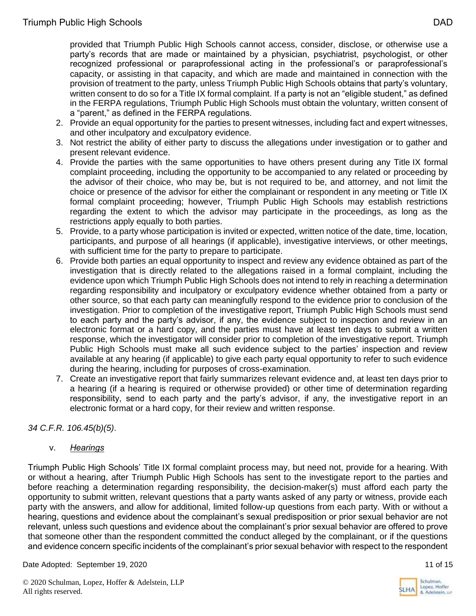provided that Triumph Public High Schools cannot access, consider, disclose, or otherwise use a party's records that are made or maintained by a physician, psychiatrist, psychologist, or other recognized professional or paraprofessional acting in the professional's or paraprofessional's capacity, or assisting in that capacity, and which are made and maintained in connection with the provision of treatment to the party, unless Triumph Public High Schools obtains that party's voluntary, written consent to do so for a Title IX formal complaint. If a party is not an "eligible student," as defined in the FERPA regulations, Triumph Public High Schools must obtain the voluntary, written consent of a "parent," as defined in the FERPA regulations.

- 2. Provide an equal opportunity for the parties to present witnesses, including fact and expert witnesses, and other inculpatory and exculpatory evidence.
- 3. Not restrict the ability of either party to discuss the allegations under investigation or to gather and present relevant evidence.
- 4. Provide the parties with the same opportunities to have others present during any Title IX formal complaint proceeding, including the opportunity to be accompanied to any related or proceeding by the advisor of their choice, who may be, but is not required to be, and attorney, and not limit the choice or presence of the advisor for either the complainant or respondent in any meeting or Title IX formal complaint proceeding; however, Triumph Public High Schools may establish restrictions regarding the extent to which the advisor may participate in the proceedings, as long as the restrictions apply equally to both parties.
- 5. Provide, to a party whose participation is invited or expected, written notice of the date, time, location, participants, and purpose of all hearings (if applicable), investigative interviews, or other meetings, with sufficient time for the party to prepare to participate.
- 6. Provide both parties an equal opportunity to inspect and review any evidence obtained as part of the investigation that is directly related to the allegations raised in a formal complaint, including the evidence upon which Triumph Public High Schools does not intend to rely in reaching a determination regarding responsibility and inculpatory or exculpatory evidence whether obtained from a party or other source, so that each party can meaningfully respond to the evidence prior to conclusion of the investigation. Prior to completion of the investigative report, Triumph Public High Schools must send to each party and the party's advisor, if any, the evidence subject to inspection and review in an electronic format or a hard copy, and the parties must have at least ten days to submit a written response, which the investigator will consider prior to completion of the investigative report. Triumph Public High Schools must make all such evidence subject to the parties' inspection and review available at any hearing (if applicable) to give each party equal opportunity to refer to such evidence during the hearing, including for purposes of cross-examination.
- 7. Create an investigative report that fairly summarizes relevant evidence and, at least ten days prior to a hearing (if a hearing is required or otherwise provided) or other time of determination regarding responsibility, send to each party and the party's advisor, if any, the investigative report in an electronic format or a hard copy, for their review and written response.

*34 C.F.R. 106.45(b)(5)*.

### v. *Hearings*

Triumph Public High Schools' Title IX formal complaint process may, but need not, provide for a hearing. With or without a hearing, after Triumph Public High Schools has sent to the investigate report to the parties and before reaching a determination regarding responsibility, the decision-maker(s) must afford each party the opportunity to submit written, relevant questions that a party wants asked of any party or witness, provide each party with the answers, and allow for additional, limited follow-up questions from each party. With or without a hearing, questions and evidence about the complainant's sexual predisposition or prior sexual behavior are not relevant, unless such questions and evidence about the complainant's prior sexual behavior are offered to prove that someone other than the respondent committed the conduct alleged by the complainant, or if the questions and evidence concern specific incidents of the complainant's prior sexual behavior with respect to the respondent

Date Adopted: September 19, 2020 11 of 15



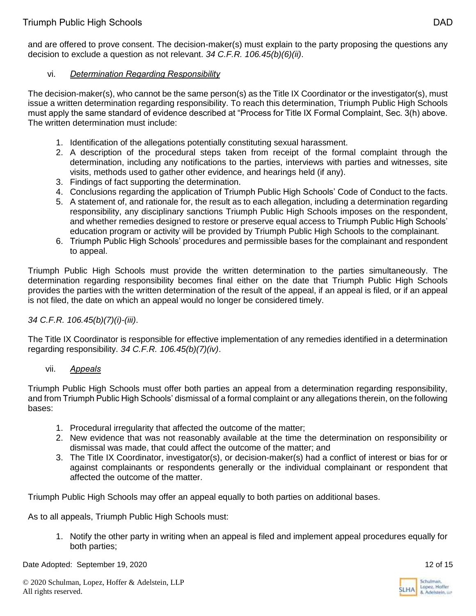and are offered to prove consent. The decision-maker(s) must explain to the party proposing the questions any decision to exclude a question as not relevant. *34 C.F.R. 106.45(b)(6)(ii)*.

## vi. *Determination Regarding Responsibility*

The decision-maker(s), who cannot be the same person(s) as the Title IX Coordinator or the investigator(s), must issue a written determination regarding responsibility. To reach this determination, Triumph Public High Schools must apply the same standard of evidence described at "Process for Title IX Formal Complaint, Sec. 3(h) above. The written determination must include:

- 1. Identification of the allegations potentially constituting sexual harassment.
- 2. A description of the procedural steps taken from receipt of the formal complaint through the determination, including any notifications to the parties, interviews with parties and witnesses, site visits, methods used to gather other evidence, and hearings held (if any).
- 3. Findings of fact supporting the determination.
- 4. Conclusions regarding the application of Triumph Public High Schools' Code of Conduct to the facts.
- 5. A statement of, and rationale for, the result as to each allegation, including a determination regarding responsibility, any disciplinary sanctions Triumph Public High Schools imposes on the respondent, and whether remedies designed to restore or preserve equal access to Triumph Public High Schools' education program or activity will be provided by Triumph Public High Schools to the complainant.
- 6. Triumph Public High Schools' procedures and permissible bases for the complainant and respondent to appeal.

Triumph Public High Schools must provide the written determination to the parties simultaneously. The determination regarding responsibility becomes final either on the date that Triumph Public High Schools provides the parties with the written determination of the result of the appeal, if an appeal is filed, or if an appeal is not filed, the date on which an appeal would no longer be considered timely.

### *34 C.F.R. 106.45(b)(7)(i)-(iii)*.

The Title IX Coordinator is responsible for effective implementation of any remedies identified in a determination regarding responsibility. *34 C.F.R. 106.45(b)(7)(iv)*.

### vii. *Appeals*

Triumph Public High Schools must offer both parties an appeal from a determination regarding responsibility, and from Triumph Public High Schools' dismissal of a formal complaint or any allegations therein, on the following bases:

- 1. Procedural irregularity that affected the outcome of the matter;
- 2. New evidence that was not reasonably available at the time the determination on responsibility or dismissal was made, that could affect the outcome of the matter; and
- 3. The Title IX Coordinator, investigator(s), or decision-maker(s) had a conflict of interest or bias for or against complainants or respondents generally or the individual complainant or respondent that affected the outcome of the matter.

Triumph Public High Schools may offer an appeal equally to both parties on additional bases.

As to all appeals, Triumph Public High Schools must:

1. Notify the other party in writing when an appeal is filed and implement appeal procedures equally for both parties;

Date Adopted: September 19, 2020 12 of 15



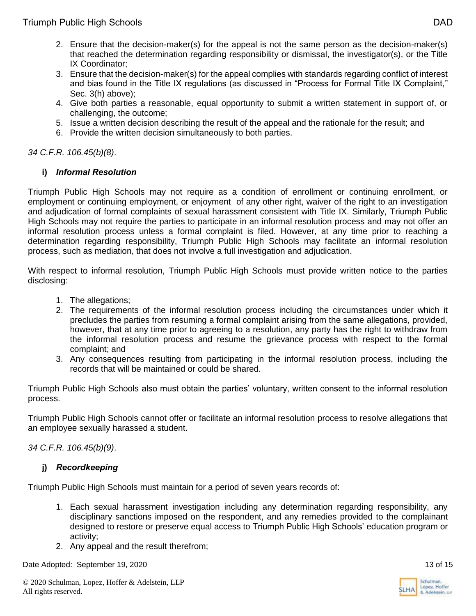- 2. Ensure that the decision-maker(s) for the appeal is not the same person as the decision-maker(s) that reached the determination regarding responsibility or dismissal, the investigator(s), or the Title IX Coordinator;
- 3. Ensure that the decision-maker(s) for the appeal complies with standards regarding conflict of interest and bias found in the Title IX regulations (as discussed in "Process for Formal Title IX Complaint," Sec. 3(h) above);
- 4. Give both parties a reasonable, equal opportunity to submit a written statement in support of, or challenging, the outcome;
- 5. Issue a written decision describing the result of the appeal and the rationale for the result; and
- 6. Provide the written decision simultaneously to both parties.

*34 C.F.R. 106.45(b)(8)*.

# **i)** *Informal Resolution*

Triumph Public High Schools may not require as a condition of enrollment or continuing enrollment, or employment or continuing employment, or enjoyment of any other right, waiver of the right to an investigation and adjudication of formal complaints of sexual harassment consistent with Title IX. Similarly, Triumph Public High Schools may not require the parties to participate in an informal resolution process and may not offer an informal resolution process unless a formal complaint is filed. However, at any time prior to reaching a determination regarding responsibility, Triumph Public High Schools may facilitate an informal resolution process, such as mediation, that does not involve a full investigation and adjudication.

With respect to informal resolution, Triumph Public High Schools must provide written notice to the parties disclosing:

- 1. The allegations;
- 2. The requirements of the informal resolution process including the circumstances under which it precludes the parties from resuming a formal complaint arising from the same allegations, provided, however, that at any time prior to agreeing to a resolution, any party has the right to withdraw from the informal resolution process and resume the grievance process with respect to the formal complaint; and
- 3. Any consequences resulting from participating in the informal resolution process, including the records that will be maintained or could be shared.

Triumph Public High Schools also must obtain the parties' voluntary, written consent to the informal resolution process.

Triumph Public High Schools cannot offer or facilitate an informal resolution process to resolve allegations that an employee sexually harassed a student.

*34 C.F.R. 106.45(b)(9)*.

# **j)** *Recordkeeping*

Triumph Public High Schools must maintain for a period of seven years records of:

- 1. Each sexual harassment investigation including any determination regarding responsibility, any disciplinary sanctions imposed on the respondent, and any remedies provided to the complainant designed to restore or preserve equal access to Triumph Public High Schools' education program or activity;
- 2. Any appeal and the result therefrom;

Date Adopted: September 19, 2020 13 of 15

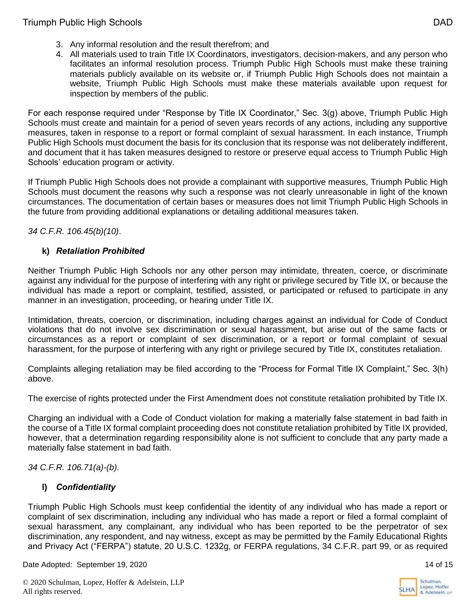- 3. Any informal resolution and the result therefrom; and
- 4. All materials used to train Title IX Coordinators, investigators, decision-makers, and any person who facilitates an informal resolution process. Triumph Public High Schools must make these training materials publicly available on its website or, if Triumph Public High Schools does not maintain a website, Triumph Public High Schools must make these materials available upon request for inspection by members of the public.

For each response required under "Response by Title IX Coordinator," Sec. 3(g) above, Triumph Public High Schools must create and maintain for a period of seven years records of any actions, including any supportive measures, taken in response to a report or formal complaint of sexual harassment. In each instance, Triumph Public High Schools must document the basis for its conclusion that its response was not deliberately indifferent, and document that it has taken measures designed to restore or preserve equal access to Triumph Public High Schools' education program or activity.

If Triumph Public High Schools does not provide a complainant with supportive measures, Triumph Public High Schools must document the reasons why such a response was not clearly unreasonable in light of the known circumstances. The documentation of certain bases or measures does not limit Triumph Public High Schools in the future from providing additional explanations or detailing additional measures taken.

*34 C.F.R. 106.45(b)(10)*.

# **k)** *Retaliation Prohibited*

Neither Triumph Public High Schools nor any other person may intimidate, threaten, coerce, or discriminate against any individual for the purpose of interfering with any right or privilege secured by Title IX, or because the individual has made a report or complaint, testified, assisted, or participated or refused to participate in any manner in an investigation, proceeding, or hearing under Title IX.

Intimidation, threats, coercion, or discrimination, including charges against an individual for Code of Conduct violations that do not involve sex discrimination or sexual harassment, but arise out of the same facts or circumstances as a report or complaint of sex discrimination, or a report or formal complaint of sexual harassment, for the purpose of interfering with any right or privilege secured by Title IX, constitutes retaliation.

Complaints alleging retaliation may be filed according to the "Process for Formal Title IX Complaint," Sec. 3(h) above.

The exercise of rights protected under the First Amendment does not constitute retaliation prohibited by Title IX.

Charging an individual with a Code of Conduct violation for making a materially false statement in bad faith in the course of a Title IX formal complaint proceeding does not constitute retaliation prohibited by Title IX provided, however, that a determination regarding responsibility alone is not sufficient to conclude that any party made a materially false statement in bad faith.

*34 C.F.R. 106.71(a)-(b)*.

# **l)** *Confidentiality*

Triumph Public High Schools must keep confidential the identity of any individual who has made a report or complaint of sex discrimination, including any individual who has made a report or filed a formal complaint of sexual harassment, any complainant, any individual who has been reported to be the perpetrator of sex discrimination, any respondent, and nay witness, except as may be permitted by the Family Educational Rights and Privacy Act ("FERPA") statute, 20 U.S.C. 1232g, or FERPA regulations, 34 C.F.R. part 99, or as required

Date Adopted: September 19, 2020 14 of 15